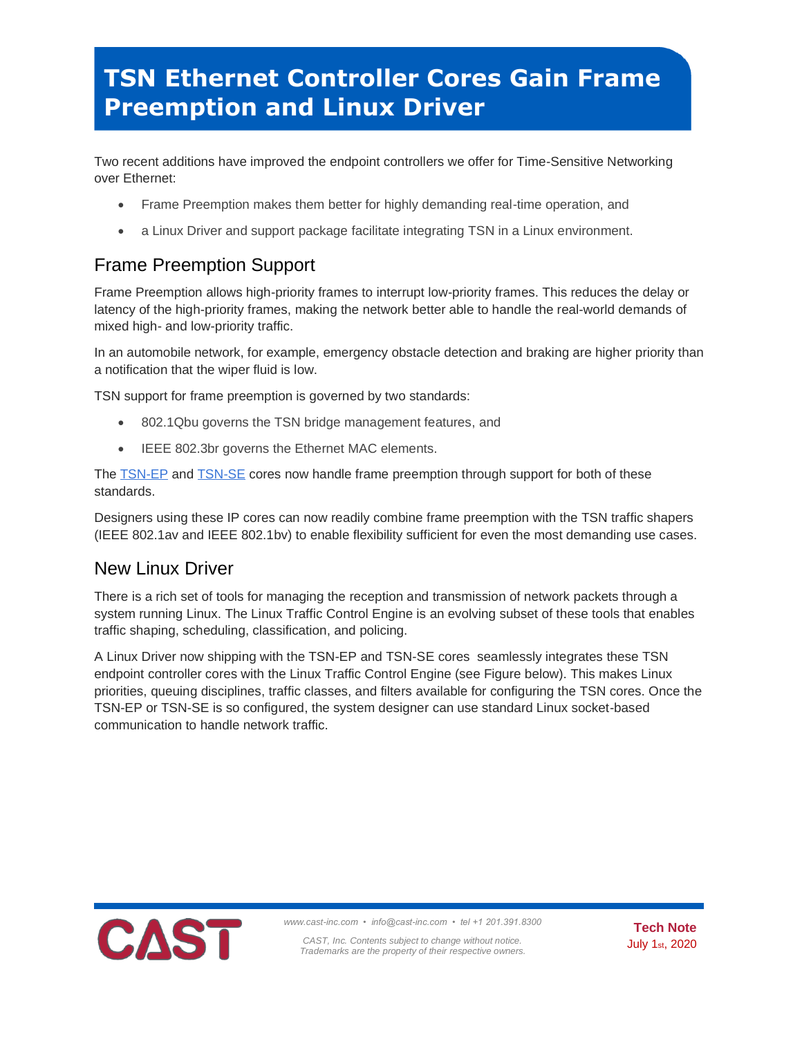## **TSN Ethernet Controller Cores Gain Frame Preemption and Linux Driver**

Two recent additions have improved the endpoint controllers we offer for Time-Sensitive Networking over Ethernet:

- Frame Preemption makes them better for highly demanding real-time operation, and
- a Linux Driver and support package facilitate integrating TSN in a Linux environment.

## Frame Preemption Support

Frame Preemption allows high-priority frames to interrupt low-priority frames. This reduces the delay or latency of the high-priority frames, making the network better able to handle the real-world demands of mixed high- and low-priority traffic.

In an automobile network, for example, emergency obstacle detection and braking are higher priority than a notification that the wiper fluid is low.

TSN support for frame preemption is governed by two standards:

- 802.1Qbu governs the TSN bridge management features, and
- IEEE 802.3br governs the Ethernet MAC elements.

The **TSN-EP** and **TSN-SE** cores now handle frame preemption through support for both of these standards.

Designers using these IP cores can now readily combine frame preemption with the TSN traffic shapers (IEEE 802.1av and IEEE 802.1bv) to enable flexibility sufficient for even the most demanding use cases.

## New Linux Driver

There is a rich set of tools for managing the reception and transmission of network packets through a system running Linux. The Linux Traffic Control Engine is an evolving subset of these tools that enables traffic shaping, scheduling, classification, and policing.

A Linux Driver now shipping with the TSN-EP and TSN-SE cores seamlessly integrates these TSN endpoint controller cores with the Linux Traffic Control Engine (see Figure below). This makes Linux priorities, queuing disciplines, traffic classes, and filters available for configuring the TSN cores. Once the TSN-EP or TSN-SE is so configured, the system designer can use standard Linux socket-based communication to handle network traffic.